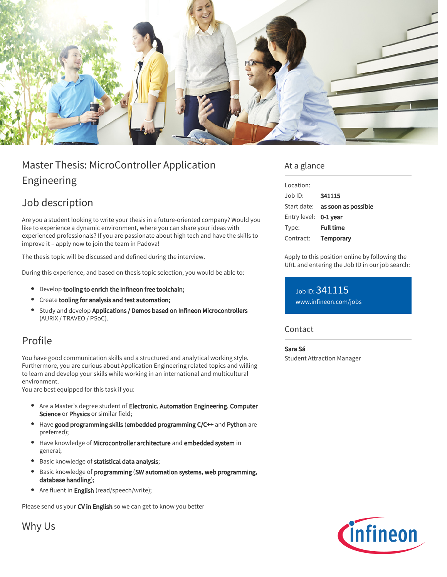

# Master Thesis: MicroController Application Engineering

# Job description

Are you a student looking to write your thesis in a future-oriented company? Would you like to experience a dynamic environment, where you can share your ideas with experienced professionals? If you are passionate about high tech and have the skills to improve it – apply now to join the team in Padova!

The thesis topic will be discussed and defined during the interview.

During this experience, and based on thesis topic selection, you would be able to:

- Develop tooling to enrich the Infineon free toolchain;
- Create tooling for analysis and test automation;
- **Study and develop Applications / Demos based on Infineon Microcontrollers** (AURIX / TRAVEO / PSoC).

# Profile

You have good communication skills and a structured and analytical working style. Furthermore, you are curious about Application Engineering related topics and willing to learn and develop your skills while working in an international and multicultural environment.

You are best equipped for this task if you:

- Are a Master's degree student of Electronic, Automation Engineering, Computer Science or Physics or similar field;
- Have good programming skills (embedded programming C/C++ and Python are preferred);
- Have knowledge of Microcontroller architecture and embedded system in general;
- **Basic knowledge of statistical data analysis;**
- $\bullet$ Basic knowledge of programming (SW automation systems, web programming, database handling);
- Are fluent in **English** (read/speech/write);

Please send us your CV in English so we can get to know you better

Why Us

# At a glance

| Location:             |                                        |
|-----------------------|----------------------------------------|
| Job ID:               | 341115                                 |
|                       | Start date: <b>as soon as possible</b> |
| Entry level: 0-1 year |                                        |
| Type:                 | <b>Full time</b>                       |
| Contract:             | Temporary                              |
|                       |                                        |

Apply to this position online by following the URL and entering the Job ID in our job search:

Job ID: 341115 [www.infineon.com/jobs](https://www.infineon.com/jobs)

## **Contact**

## Sara Sá

Student Attraction Manager